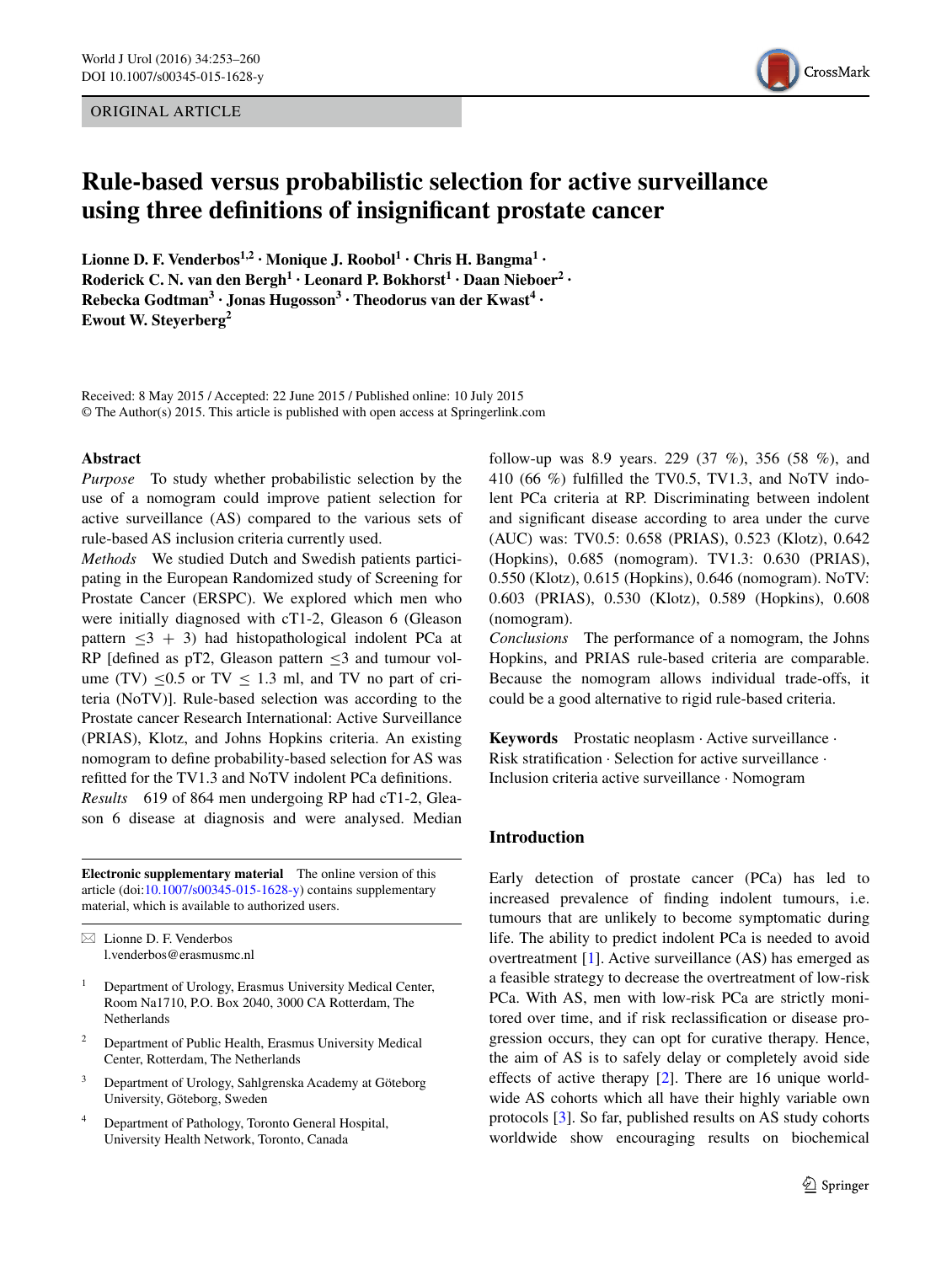ORIGINAL ARTICLE



# **Rule-based versus probabilistic selection for active surveillance using three definitions of insignificant prostate cancer**

**Lionne D. F. Venderbos**<sup>1,2</sup> **· Monique J. Roobol**<sup>1</sup> **· Chris H. Bangma**<sup>1</sup> **· Roderick C. N. van den Bergh<sup>1</sup> · Leonard P. Bokhorst1 · Daan Nieboer2 · Rebecka**  $\text{Godtman}^3 \cdot \text{Jonas Hugosson}^3 \cdot \text{Theodorus van der Kwast}^4 \cdot$ **Ewout W. Steyerberg<sup>2</sup>**

Received: 8 May 2015 / Accepted: 22 June 2015 / Published online: 10 July 2015 © The Author(s) 2015. This article is published with open access at Springerlink.com

### **Abstract**

*Purpose* To study whether probabilistic selection by the use of a nomogram could improve patient selection for active surveillance (AS) compared to the various sets of rule-based AS inclusion criteria currently used.

*Methods* We studied Dutch and Swedish patients participating in the European Randomized study of Screening for Prostate Cancer (ERSPC). We explored which men who were initially diagnosed with cT1-2, Gleason 6 (Gleason pattern  $\leq$ 3 + 3) had histopathological indolent PCa at RP [defined as pT2, Gleason pattern  $\leq$ 3 and tumour volume (TV)  $\leq 0.5$  or TV  $\leq 1.3$  ml, and TV no part of criteria (NoTV)]. Rule-based selection was according to the Prostate cancer Research International: Active Surveillance (PRIAS), Klotz, and Johns Hopkins criteria. An existing nomogram to define probability-based selection for AS was refitted for the TV1.3 and NoTV indolent PCa definitions. *Results* 619 of 864 men undergoing RP had cT1-2, Gleason 6 disease at diagnosis and were analysed. Median

**Electronic supplementary material** The online version of this article (doi[:10.1007/s00345-015-1628-y](http://dx.doi.org/10.1007/s00345-015-1628-y)) contains supplementary material, which is available to authorized users.

 $\boxtimes$  Lionne D. F. Venderbos l.venderbos@erasmusmc.nl

- <sup>1</sup> Department of Urology, Erasmus University Medical Center, Room Na1710, P.O. Box 2040, 3000 CA Rotterdam, The Netherlands
- <sup>2</sup> Department of Public Health, Erasmus University Medical Center, Rotterdam, The Netherlands
- <sup>3</sup> Department of Urology, Sahlgrenska Academy at Göteborg University, Göteborg, Sweden
- Department of Pathology, Toronto General Hospital, University Health Network, Toronto, Canada

follow-up was 8.9 years. 229 (37 %), 356 (58 %), and 410 (66 %) fulfilled the TV0.5, TV1.3, and NoTV indolent PCa criteria at RP. Discriminating between indolent and significant disease according to area under the curve (AUC) was: TV0.5: 0.658 (PRIAS), 0.523 (Klotz), 0.642 (Hopkins), 0.685 (nomogram). TV1.3: 0.630 (PRIAS), 0.550 (Klotz), 0.615 (Hopkins), 0.646 (nomogram). NoTV: 0.603 (PRIAS), 0.530 (Klotz), 0.589 (Hopkins), 0.608 (nomogram).

*Conclusions* The performance of a nomogram, the Johns Hopkins, and PRIAS rule-based criteria are comparable. Because the nomogram allows individual trade-offs, it could be a good alternative to rigid rule-based criteria.

**Keywords** Prostatic neoplasm · Active surveillance · Risk stratification · Selection for active surveillance · Inclusion criteria active surveillance · Nomogram

## **Introduction**

Early detection of prostate cancer (PCa) has led to increased prevalence of finding indolent tumours, i.e. tumours that are unlikely to become symptomatic during life. The ability to predict indolent PCa is needed to avoid overtreatment [\[1](#page-6-0)]. Active surveillance (AS) has emerged as a feasible strategy to decrease the overtreatment of low-risk PCa. With AS, men with low-risk PCa are strictly monitored over time, and if risk reclassification or disease progression occurs, they can opt for curative therapy. Hence, the aim of AS is to safely delay or completely avoid side effects of active therapy [[2\]](#page-6-1). There are 16 unique worldwide AS cohorts which all have their highly variable own protocols [\[3](#page-6-2)]. So far, published results on AS study cohorts worldwide show encouraging results on biochemical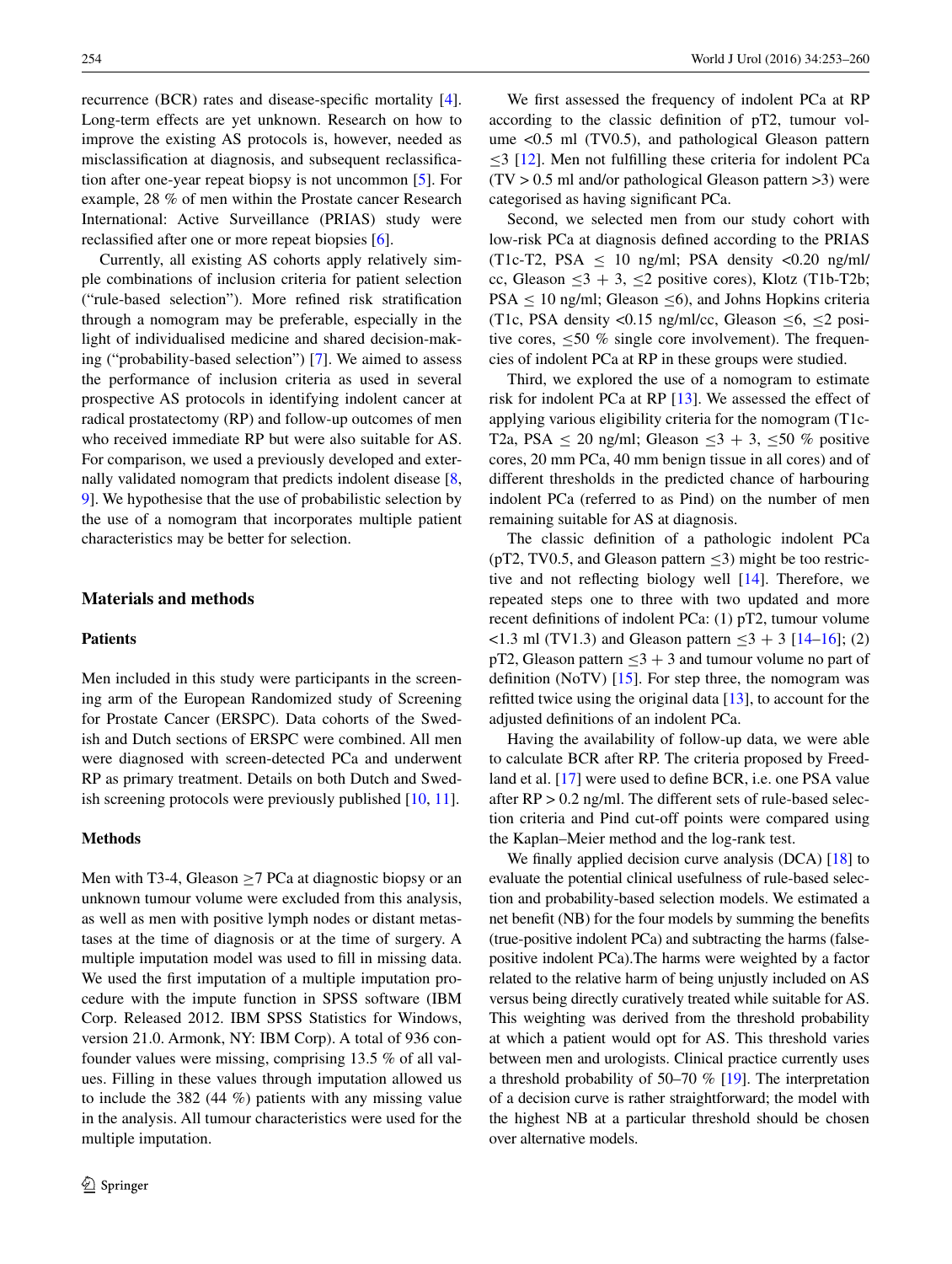recurrence (BCR) rates and disease-specific mortality [\[4](#page-6-3)]. Long-term effects are yet unknown. Research on how to improve the existing AS protocols is, however, needed as misclassification at diagnosis, and subsequent reclassification after one-year repeat biopsy is not uncommon [[5\]](#page-6-4). For example, 28 % of men within the Prostate cancer Research International: Active Surveillance (PRIAS) study were reclassified after one or more repeat biopsies [[6\]](#page-6-5).

Currently, all existing AS cohorts apply relatively simple combinations of inclusion criteria for patient selection ("rule-based selection"). More refined risk stratification through a nomogram may be preferable, especially in the light of individualised medicine and shared decision-making ("probability-based selection") [\[7](#page-6-6)]. We aimed to assess the performance of inclusion criteria as used in several prospective AS protocols in identifying indolent cancer at radical prostatectomy (RP) and follow-up outcomes of men who received immediate RP but were also suitable for AS. For comparison, we used a previously developed and externally validated nomogram that predicts indolent disease [[8,](#page-6-7) [9](#page-6-8)]. We hypothesise that the use of probabilistic selection by the use of a nomogram that incorporates multiple patient characteristics may be better for selection.

## **Materials and methods**

### **Patients**

Men included in this study were participants in the screening arm of the European Randomized study of Screening for Prostate Cancer (ERSPC). Data cohorts of the Swedish and Dutch sections of ERSPC were combined. All men were diagnosed with screen-detected PCa and underwent RP as primary treatment. Details on both Dutch and Swedish screening protocols were previously published [[10,](#page-6-9) [11\]](#page-6-10).

## **Methods**

Men with T3-4, Gleason  $\geq$ 7 PCa at diagnostic biopsy or an unknown tumour volume were excluded from this analysis, as well as men with positive lymph nodes or distant metastases at the time of diagnosis or at the time of surgery. A multiple imputation model was used to fill in missing data. We used the first imputation of a multiple imputation procedure with the impute function in SPSS software (IBM Corp. Released 2012. IBM SPSS Statistics for Windows, version 21.0. Armonk, NY: IBM Corp). A total of 936 confounder values were missing, comprising 13.5 % of all values. Filling in these values through imputation allowed us to include the 382 (44 %) patients with any missing value in the analysis. All tumour characteristics were used for the multiple imputation.

We first assessed the frequency of indolent PCa at RP according to the classic definition of pT2, tumour volume <0.5 ml (TV0.5), and pathological Gleason pattern ≤3 [\[12](#page-6-11)]. Men not fulfilling these criteria for indolent PCa  $(TV > 0.5$  ml and/or pathological Gleason pattern  $>3$ ) were categorised as having significant PCa.

Second, we selected men from our study cohort with low-risk PCa at diagnosis defined according to the PRIAS (T1c-T2, PSA  $\leq$  10 ng/ml; PSA density <0.20 ng/ml/ cc, Gleason  $\leq$  3 + 3,  $\leq$  2 positive cores), Klotz (T1b-T2b; PSA  $\leq$  10 ng/ml; Gleason  $\leq$ 6), and Johns Hopkins criteria (T1c, PSA density <0.15 ng/ml/cc, Gleason  $\leq 6$ ,  $\leq 2$  positive cores,  $\leq 50$  % single core involvement). The frequencies of indolent PCa at RP in these groups were studied.

Third, we explored the use of a nomogram to estimate risk for indolent PCa at RP [\[13](#page-6-12)]. We assessed the effect of applying various eligibility criteria for the nomogram (T1c-T2a, PSA  $\leq$  20 ng/ml; Gleason  $\leq$ 3 + 3,  $\leq$ 50 % positive cores, 20 mm PCa, 40 mm benign tissue in all cores) and of different thresholds in the predicted chance of harbouring indolent PCa (referred to as Pind) on the number of men remaining suitable for AS at diagnosis.

The classic definition of a pathologic indolent PCa ( $pT2$ , TV0.5, and Gleason pattern  $\leq$ 3) might be too restrictive and not reflecting biology well [\[14](#page-6-13)]. Therefore, we repeated steps one to three with two updated and more recent definitions of indolent PCa: (1) pT2, tumour volume  $\langle 1.3 \text{ ml (TV1.3)} \rangle$  and Gleason pattern  $\langle 3 + 3 \text{ [14–16]} \rangle$  $\langle 3 + 3 \text{ [14–16]} \rangle$  $\langle 3 + 3 \text{ [14–16]} \rangle$  $\langle 3 + 3 \text{ [14–16]} \rangle$ ; (2) pT2, Gleason pattern  $\leq$ 3 + 3 and tumour volume no part of definition (NoTV)  $[15]$  $[15]$ . For step three, the nomogram was refitted twice using the original data  $[13]$  $[13]$ , to account for the adjusted definitions of an indolent PCa.

Having the availability of follow-up data, we were able to calculate BCR after RP. The criteria proposed by Freedland et al. [[17\]](#page-6-16) were used to define BCR, i.e. one PSA value after RP > 0.2 ng/ml. The different sets of rule-based selection criteria and Pind cut-off points were compared using the Kaplan–Meier method and the log-rank test.

We finally applied decision curve analysis (DCA) [[18](#page-6-17)] to evaluate the potential clinical usefulness of rule-based selection and probability-based selection models. We estimated a net benefit (NB) for the four models by summing the benefits (true-positive indolent PCa) and subtracting the harms (falsepositive indolent PCa).The harms were weighted by a factor related to the relative harm of being unjustly included on AS versus being directly curatively treated while suitable for AS. This weighting was derived from the threshold probability at which a patient would opt for AS. This threshold varies between men and urologists. Clinical practice currently uses a threshold probability of 50–70 % [\[19](#page-6-18)]. The interpretation of a decision curve is rather straightforward; the model with the highest NB at a particular threshold should be chosen over alternative models.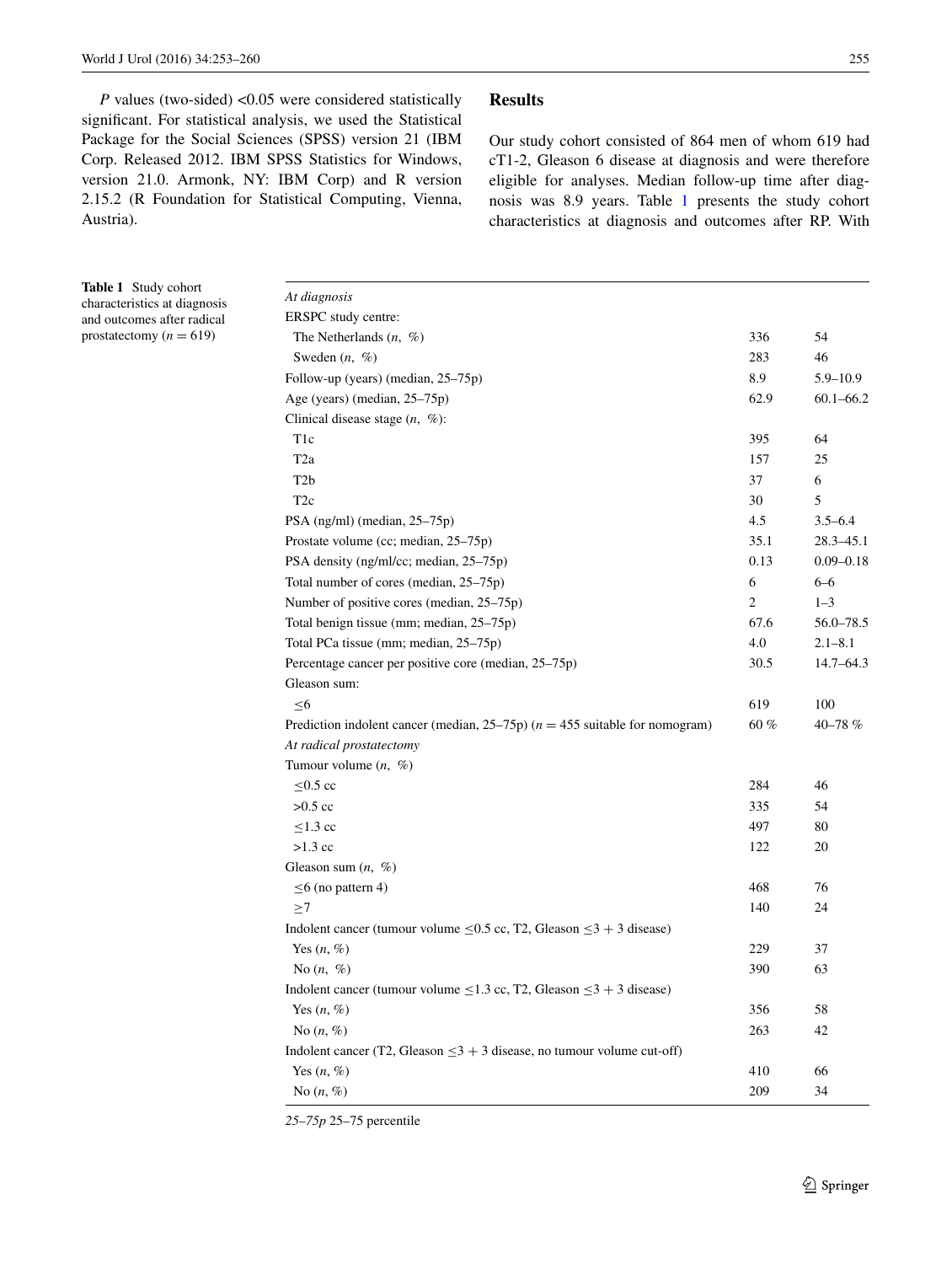*P* values (two-sided) <0.05 were considered statistically significant. For statistical analysis, we used the Statistical Package for the Social Sciences (SPSS) version 21 (IBM Corp. Released 2012. IBM SPSS Statistics for Windows, version 21.0. Armonk, NY: IBM Corp) and R version 2.15.2 (R Foundation for Statistical Computing, Vienna, Austria).

<span id="page-2-0"></span>**Table 1** Study cohort characteristics at diagnosis and outcomes after radical prostatectomy  $(n = 619)$ 

Our study cohort consisted of 864 men of whom 619 had cT1-2, Gleason 6 disease at diagnosis and were therefore eligible for analyses. Median follow-up time after diagnosis was 8.9 years. Table [1](#page-2-0) presents the study cohort characteristics at diagnosis and outcomes after RP. With

| At diagnosis                                                                      |                |               |
|-----------------------------------------------------------------------------------|----------------|---------------|
| ERSPC study centre:                                                               |                |               |
| The Netherlands $(n, \%)$                                                         | 336            | 54            |
| Sweden $(n, \%)$                                                                  | 283            | 46            |
| Follow-up (years) (median, 25-75p)                                                | 8.9            | $5.9 - 10.9$  |
| Age (years) (median, 25-75p)                                                      | 62.9           | $60.1 - 66.2$ |
| Clinical disease stage $(n, %)$ :                                                 |                |               |
| T <sub>1c</sub>                                                                   | 395            | 64            |
| T <sub>2</sub> a                                                                  | 157            | 25            |
| T <sub>2</sub> b                                                                  | 37             | 6             |
| T <sub>2c</sub>                                                                   | 30             | 5             |
| PSA (ng/ml) (median, 25–75p)                                                      | 4.5            | $3.5 - 6.4$   |
| Prostate volume (cc; median, 25–75p)                                              | 35.1           | $28.3 - 45.1$ |
| PSA density (ng/ml/cc; median, 25-75p)                                            | 0.13           | $0.09 - 0.18$ |
| Total number of cores (median, 25–75p)                                            | 6              | $6 - 6$       |
| Number of positive cores (median, 25–75p)                                         | $\overline{c}$ | $1 - 3$       |
| Total benign tissue (mm; median, 25–75p)                                          | 67.6           | 56.0-78.5     |
| Total PCa tissue (mm; median, 25-75p)                                             | 4.0            | $2.1 - 8.1$   |
| Percentage cancer per positive core (median, 25-75p)                              | 30.5           | $14.7 - 64.3$ |
| Gleason sum:                                                                      |                |               |
| $\leq 6$                                                                          | 619            | 100           |
| Prediction indolent cancer (median, $25-75p$ ) ( $n = 455$ suitable for nomogram) | 60%            | 40-78 %       |
| At radical prostatectomy                                                          |                |               |
| Tumour volume $(n, \%)$                                                           |                |               |
| $\leq 0.5$ cc                                                                     | 284            | 46            |
| $>0.5$ cc                                                                         | 335            | 54            |
| $\leq$ 1.3 cc                                                                     | 497            | 80            |
| $>1.3$ cc                                                                         | 122            | 20            |
| Gleason sum $(n, \%)$                                                             |                |               |
| $\leq$ 6 (no pattern 4)                                                           | 468            | 76            |
| >7                                                                                | 140            | 24            |
| Indolent cancer (tumour volume $\leq 0.5$ cc, T2, Gleason $\leq 3 + 3$ disease)   |                |               |
| Yes $(n, \%)$                                                                     | 229            | 37            |
| No $(n, \%)$                                                                      | 390            | 63            |
| Indolent cancer (tumour volume $\leq 1.3$ cc, T2, Gleason $\leq 3 + 3$ disease)   |                |               |
| Yes $(n, \%)$                                                                     | 356            | 58            |
| No $(n, \%)$                                                                      | 263            | 42            |
| Indolent cancer (T2, Gleason $\leq$ 3 + 3 disease, no tumour volume cut-off)      |                |               |
| Yes $(n, \%)$                                                                     | 410            | 66            |
| No $(n, \%)$                                                                      | 209            | 34            |

*25–75p* 25–75 percentile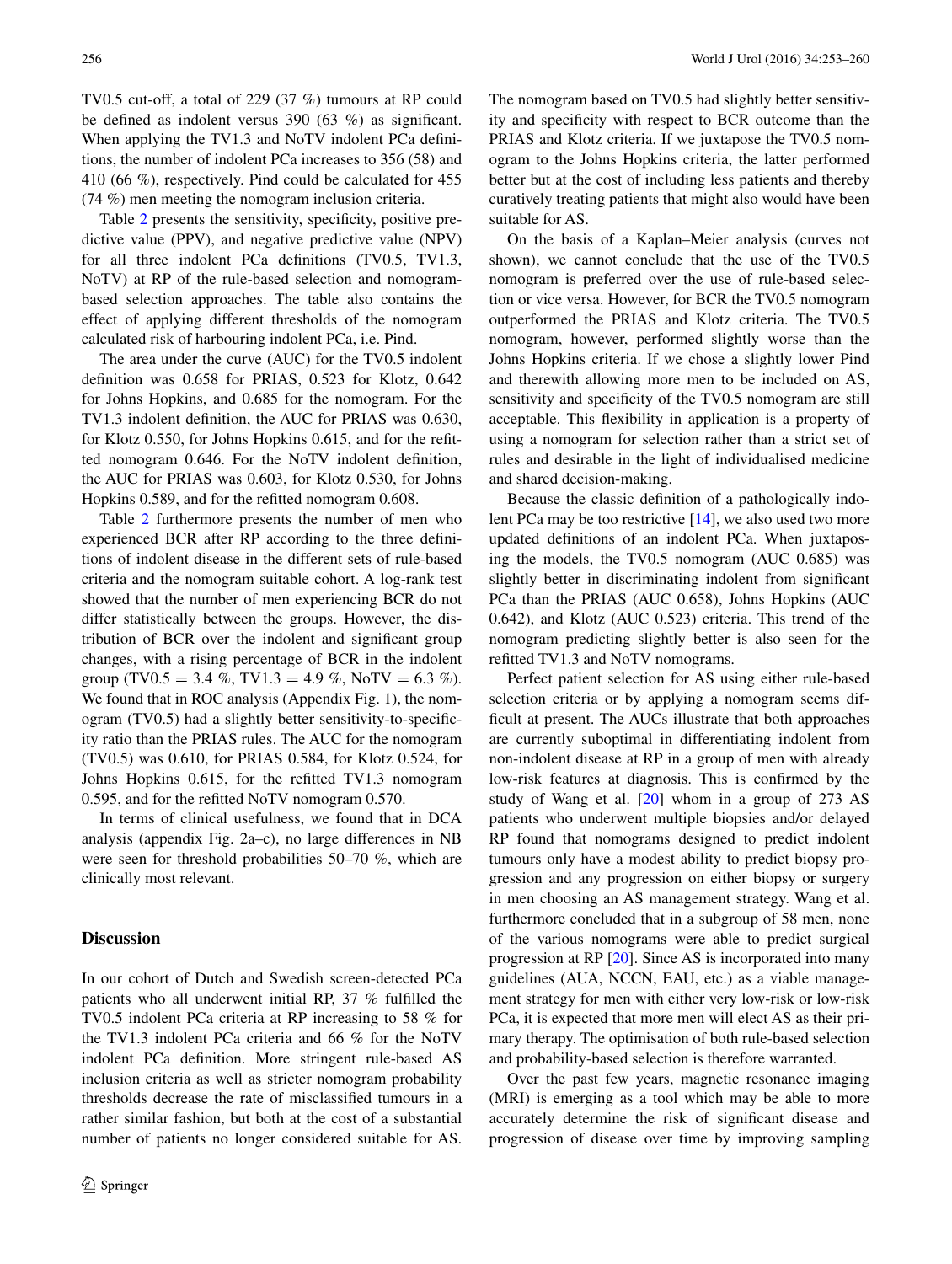TV0.5 cut-off, a total of 229 (37 %) tumours at RP could be defined as indolent versus 390 (63 %) as significant. When applying the TV1.3 and NoTV indolent PCa definitions, the number of indolent PCa increases to 356 (58) and 410 (66 %), respectively. Pind could be calculated for 455 (74 %) men meeting the nomogram inclusion criteria.

Table [2](#page-4-0) presents the sensitivity, specificity, positive predictive value (PPV), and negative predictive value (NPV) for all three indolent PCa definitions (TV0.5, TV1.3, NoTV) at RP of the rule-based selection and nomogrambased selection approaches. The table also contains the effect of applying different thresholds of the nomogram calculated risk of harbouring indolent PCa, i.e. Pind.

The area under the curve (AUC) for the TV0.5 indolent definition was 0.658 for PRIAS, 0.523 for Klotz, 0.642 for Johns Hopkins, and 0.685 for the nomogram. For the TV1.3 indolent definition, the AUC for PRIAS was 0.630, for Klotz 0.550, for Johns Hopkins 0.615, and for the refitted nomogram 0.646. For the NoTV indolent definition, the AUC for PRIAS was 0.603, for Klotz 0.530, for Johns Hopkins 0.589, and for the refitted nomogram 0.608.

Table [2](#page-4-0) furthermore presents the number of men who experienced BCR after RP according to the three definitions of indolent disease in the different sets of rule-based criteria and the nomogram suitable cohort. A log-rank test showed that the number of men experiencing BCR do not differ statistically between the groups. However, the distribution of BCR over the indolent and significant group changes, with a rising percentage of BCR in the indolent group (TV0.5 = 3.4 %, TV1.3 = 4.9 %, NoTV = 6.3 %). We found that in ROC analysis (Appendix Fig. 1), the nomogram (TV0.5) had a slightly better sensitivity-to-specificity ratio than the PRIAS rules. The AUC for the nomogram (TV0.5) was 0.610, for PRIAS 0.584, for Klotz 0.524, for Johns Hopkins 0.615, for the refitted TV1.3 nomogram 0.595, and for the refitted NoTV nomogram 0.570.

In terms of clinical usefulness, we found that in DCA analysis (appendix Fig. 2a–c), no large differences in NB were seen for threshold probabilities 50–70 %, which are clinically most relevant.

## **Discussion**

In our cohort of Dutch and Swedish screen-detected PCa patients who all underwent initial RP, 37 % fulfilled the TV0.5 indolent PCa criteria at RP increasing to 58 % for the TV1.3 indolent PCa criteria and 66 % for the NoTV indolent PCa definition. More stringent rule-based AS inclusion criteria as well as stricter nomogram probability thresholds decrease the rate of misclassified tumours in a rather similar fashion, but both at the cost of a substantial number of patients no longer considered suitable for AS.

The nomogram based on TV0.5 had slightly better sensitivity and specificity with respect to BCR outcome than the PRIAS and Klotz criteria. If we juxtapose the TV0.5 nomogram to the Johns Hopkins criteria, the latter performed better but at the cost of including less patients and thereby curatively treating patients that might also would have been suitable for AS.

On the basis of a Kaplan–Meier analysis (curves not shown), we cannot conclude that the use of the TV0.5 nomogram is preferred over the use of rule-based selection or vice versa. However, for BCR the TV0.5 nomogram outperformed the PRIAS and Klotz criteria. The TV0.5 nomogram, however, performed slightly worse than the Johns Hopkins criteria. If we chose a slightly lower Pind and therewith allowing more men to be included on AS, sensitivity and specificity of the TV0.5 nomogram are still acceptable. This flexibility in application is a property of using a nomogram for selection rather than a strict set of rules and desirable in the light of individualised medicine and shared decision-making.

Because the classic definition of a pathologically indolent PCa may be too restrictive [[14\]](#page-6-13), we also used two more updated definitions of an indolent PCa. When juxtaposing the models, the TV0.5 nomogram (AUC 0.685) was slightly better in discriminating indolent from significant PCa than the PRIAS (AUC 0.658), Johns Hopkins (AUC 0.642), and Klotz (AUC 0.523) criteria. This trend of the nomogram predicting slightly better is also seen for the refitted TV1.3 and NoTV nomograms.

Perfect patient selection for AS using either rule-based selection criteria or by applying a nomogram seems difficult at present. The AUCs illustrate that both approaches are currently suboptimal in differentiating indolent from non-indolent disease at RP in a group of men with already low-risk features at diagnosis. This is confirmed by the study of Wang et al. [\[20](#page-6-19)] whom in a group of 273 AS patients who underwent multiple biopsies and/or delayed RP found that nomograms designed to predict indolent tumours only have a modest ability to predict biopsy progression and any progression on either biopsy or surgery in men choosing an AS management strategy. Wang et al. furthermore concluded that in a subgroup of 58 men, none of the various nomograms were able to predict surgical progression at RP [\[20](#page-6-19)]. Since AS is incorporated into many guidelines (AUA, NCCN, EAU, etc.) as a viable management strategy for men with either very low-risk or low-risk PCa, it is expected that more men will elect AS as their primary therapy. The optimisation of both rule-based selection and probability-based selection is therefore warranted.

Over the past few years, magnetic resonance imaging (MRI) is emerging as a tool which may be able to more accurately determine the risk of significant disease and progression of disease over time by improving sampling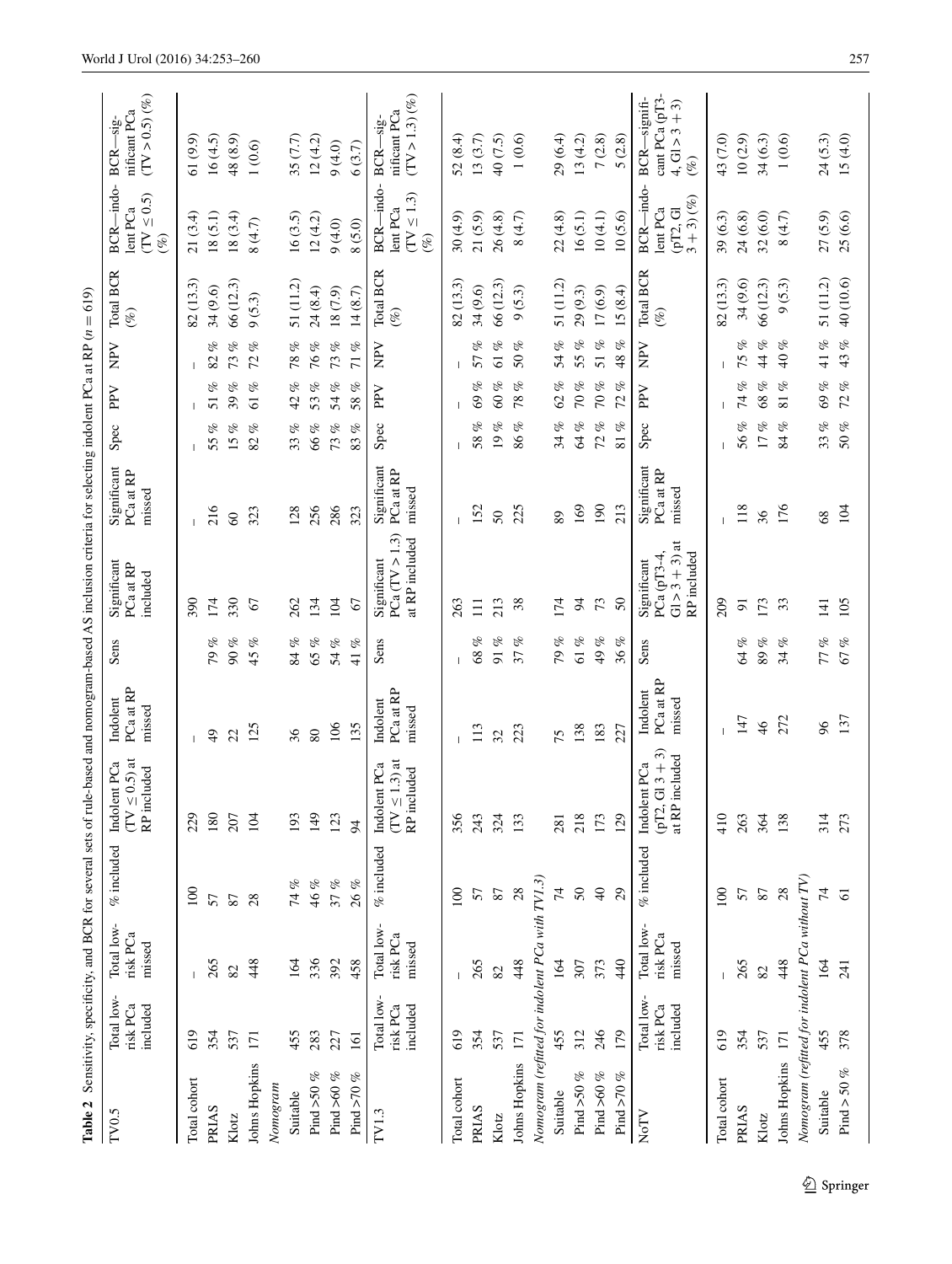<span id="page-4-0"></span>

| Table 2                                         |                                    |                                  |                | Sensitivity, specificity, and BCR for several sets of rule-based and nomogram-based AS inclusion criteria for selecting indolent PCa at RP (n = 619) |                                 |                                |                                                                |                                    |                                     |                                  |                                   |                     |                                                           |                                                                |
|-------------------------------------------------|------------------------------------|----------------------------------|----------------|------------------------------------------------------------------------------------------------------------------------------------------------------|---------------------------------|--------------------------------|----------------------------------------------------------------|------------------------------------|-------------------------------------|----------------------------------|-----------------------------------|---------------------|-----------------------------------------------------------|----------------------------------------------------------------|
| TV0.5                                           | Total low-<br>risk PCa<br>included | Total low-<br>risk PCa<br>missed | $%$ included   | $(TV \le 0.5)$ at<br>RP included<br>Indolent PCa                                                                                                     | PCa at RP<br>Indolent<br>missed | Sens                           | Significant<br>PCa at RP<br>included                           | Significant<br>PCa at RP<br>missed | Spec                                | PPV                              | NPV                               | Total BCR<br>$($ %) | BCR-indo-<br>$(\text{TV} \leq 0.5)$<br>lent PCa<br>$(\%)$ | $(TV > 0.5)$ (%)<br>nificant PCa<br>$BCR - sig$                |
|                                                 |                                    |                                  |                |                                                                                                                                                      |                                 |                                |                                                                |                                    |                                     |                                  |                                   |                     |                                                           |                                                                |
| Total cohort                                    | 619                                |                                  | 100            | 229                                                                                                                                                  |                                 |                                | 390                                                            |                                    |                                     |                                  |                                   | 82(13.3)            | 21(3.4)                                                   | 61 (9.9)                                                       |
| <b>PRIAS</b>                                    | 354                                | 265                              | 57             | 180                                                                                                                                                  | $\overline{4}$                  | $\mathscr{C}$<br>79            | 174                                                            | 216                                | of<br>55                            | $\mathcal{C}$<br>51              | $\mathcal{C}$<br>82               | 34 (9.6)            | 18(5.1)                                                   | 16(4.5)                                                        |
| Klotz                                           | 537                                | 82                               | 87             | 207                                                                                                                                                  | $\mathfrak{L}$                  | 90 %                           | 330                                                            | $\infty$                           | oz<br>15                            | $\mathcal{C}$<br>39              | $\mathscr{C}$<br>73               | 66 (12.3)           | 18(3.4)                                                   | 48 (8.9)                                                       |
| <b>Johns Hopkins</b>                            | 171                                | 448                              | 28             | 104                                                                                                                                                  | 125                             | $\mathscr{C}$<br>45            | 67                                                             | 323                                | of<br>82                            | $\mathscr{C}$<br>$\overline{61}$ | $\mathscr{C}$<br>72               | 9(5.3)              | 8(4.7)                                                    | $1(0.6)$                                                       |
| Nomogram                                        |                                    |                                  |                |                                                                                                                                                      |                                 |                                |                                                                |                                    |                                     |                                  |                                   |                     |                                                           |                                                                |
| Suitable                                        | 455                                | 164                              | 74 %           | 193                                                                                                                                                  | 36                              | $\mathcal{C}$<br>84            | 262                                                            | 128                                | $\mathcal{C}^{\mathcal{C}}_0$<br>33 | $\mathscr{C}$<br>42              | $\mathcal{C}$<br>78               | 51(11.2)            | 16(3.5)                                                   | 35(7.7)                                                        |
| Pind >50 %                                      | 283                                | 336                              | 46 %           | 149                                                                                                                                                  | 80                              | 65%                            | 134                                                            | 256                                | $96\%$                              | 53 $%$                           | 76%                               | 24(8.4)             | 12(4.2)                                                   | 12(4.2)                                                        |
| Pind $> 60\ \%$                                 | 227                                | 392                              | 37%            | 123                                                                                                                                                  | 106                             | 54 $%$                         | 104                                                            | 286                                | 73%                                 | 54%                              | 73%                               | 18(7.9)             | 9(4.0)                                                    | 9(4.0)                                                         |
| Pind >70 %                                      | 161                                | 458                              | 26 %           | $\overline{5}$                                                                                                                                       | 135                             | $41~\%$                        | 67                                                             | 323                                | 83%                                 | 58%                              | 71%                               | 14(8.7)             | 8(5.0)                                                    | 6(3.7)                                                         |
| TV1.3                                           | Total low-<br>risk PCa<br>included | Total low-<br>risk PCa<br>missed | $%$ included   | $(TV \le 1.3)$ at<br>Indolent PCa<br>RP included                                                                                                     | PCa at RP<br>Indolent<br>missed | Sens                           | PCa(TV > 1.3)<br>at RP included<br>Significant                 | Significant<br>PCa at RP<br>missed | Spec                                | PPV                              | NPV                               | Total BCR<br>$(\%)$ | BCR-indo-<br>$(TV \leq 1.3)$<br>lent PCa<br>$($ %)        | $(TV > 1.3)$ (%)<br>nificant PCa<br>$-8i$<br>BCR-              |
| Total cohort                                    | 619                                |                                  | 100            | 356                                                                                                                                                  |                                 |                                | 263                                                            |                                    |                                     |                                  |                                   | (13.3)<br>82        | 30(4.9)                                                   | 52(8.4)                                                        |
| <b>PRIAS</b>                                    | 354                                | 265                              | 57             | 243                                                                                                                                                  | 113                             | of<br>8 <sup>o</sup>           | $\Xi$                                                          | 152                                | $28.8\%$                            | 69%                              | of<br>57                          | 34 (9.6)            | 21(5.9)                                                   | 13(3.7)                                                        |
| Klotz                                           | 537                                | 82                               | 87             | 324                                                                                                                                                  | 32                              | of<br>$\overline{5}$           | 213                                                            | 50                                 | 19 $\%$                             | $90\,09$                         | $\mathcal{C}$<br>$\overline{61}$  | 66 (12.3)           | 26(4.8)                                                   | 40 (7.5)                                                       |
| <b>Johns Hopkins</b>                            | 171                                | 448                              | 28             | 133                                                                                                                                                  | 223                             | $\mathscr{C}$<br>57            | 38                                                             | 225                                | $\mathscr{C}$<br>86                 | of<br>78                         | of<br>50                          | (5.3)<br>$\bullet$  | 8(4.7)                                                    | $(0.6)$<br>$\overline{\phantom{0}}$                            |
| Nomogram (refitted for indolent PCa with TVI.3) |                                    |                                  |                |                                                                                                                                                      |                                 |                                |                                                                |                                    |                                     |                                  |                                   |                     |                                                           |                                                                |
| Suitable                                        | 455                                | 164                              | 74             | 281                                                                                                                                                  | 75                              | 79 %                           | 174                                                            | 89                                 | $\mathscr{C}$<br>34                 | of<br>$\mathcal{O}$              | $\mathcal{C}$<br>54               | 51 (11.2)           | 22(4.8)                                                   | 29(6.4)                                                        |
| Pind >50 %                                      | 312                                | 307                              | 50             | 218                                                                                                                                                  | 138                             | of<br>$\overline{6}$           | $\overline{5}$                                                 | 169                                | $\mathcal{C}$<br>64                 | 70 %                             | 55%                               | 29(9.3)             | 16(5.1)                                                   | 13(4.2)                                                        |
| Pind >60 %                                      | 246                                | 373                              | $\overline{4}$ | 173                                                                                                                                                  | 183                             | 49 %                           | 73                                                             | 190                                | $\mathcal{C}$<br>72                 | $70~\%$                          | 51 %                              | 17(6.9)             | 10(4.1)                                                   | 7(2.8)                                                         |
| Pind $>70$ %                                    | 179                                | 40                               | 29             | 129                                                                                                                                                  | 227                             | $\mathcal{C}$<br>36            | $50\,$                                                         | 213                                | $\mathcal{C}$<br>81                 | $\mathcal{C}$<br>72              | $\mathcal{C}$<br>48               | 15 (8.4)            | 10(5.6)                                                   | 5(2.8)                                                         |
| NoTV                                            | Total low-<br>risk PCa<br>included | Total low-<br>risk PCa<br>missed | $%$ included   | $G13 + 3$<br>included<br>Indolent PCa<br>at $RP$<br>(pT2,                                                                                            | PCa at RP<br>Indolent<br>missed | Sens                           | $Cl > 3 + 3$ ) at<br>PCa (pT3-4,<br>RP included<br>Significant | Significant<br>PCa at RP<br>missed | Spec                                | PPV                              | NPV                               | Total BCR<br>$($ %) | BCR-indo-<br>$3 + 3(%)$<br>lent PCa<br>(pT2, GI           | cant PCa (pT3<br>4, Gl > 3 + 3)<br>-signifi-<br>BCR-<br>$(\%)$ |
| Total cohort                                    | 619                                |                                  | 100            | 410                                                                                                                                                  |                                 |                                | 209                                                            |                                    |                                     |                                  |                                   | 82(13.3)            | 39(6.3)                                                   | 43 (7.0)                                                       |
| <b>PRIAS</b>                                    | 354                                | 265                              | 57             | 263                                                                                                                                                  | 147                             | $\mathscr{C}$<br>$\mathcal{Z}$ | $\overline{5}$                                                 | 118                                | 56 %                                | $\mathscr{C}$<br>$\overline{7}$  | 75 %                              | 34 (9.6)            | 24(6.8)                                                   | 10(2.9)                                                        |
| Klotz                                           | 537                                | $82\,$                           | 87             | 364                                                                                                                                                  | $\frac{4}{6}$                   | 89 %                           | 173                                                            | 36                                 | 17 $\%$                             | $98.8\,$                         | $44~%$                            | 66 (12.3)           | 32(6.0)                                                   | 34(6.3)                                                        |
| Johns Hopkins 171                               |                                    | 448                              | 28             | 138                                                                                                                                                  | 272                             | of<br>34                       | 33                                                             | 176                                | of<br>84                            | of<br>81                         | $\mathcal{C}$<br>$\Theta$         | 9(5.3)              | 8(4.7)                                                    | 1(0.6)                                                         |
| Nomogram (refitted for indolent PCa without TV) |                                    |                                  |                |                                                                                                                                                      |                                 |                                |                                                                |                                    |                                     |                                  |                                   |                     |                                                           |                                                                |
| Suitable                                        | 455                                | 164                              | 74             | 314                                                                                                                                                  | $\frac{8}{2}$                   | $\mathcal{C}$<br>77            | 141                                                            | 68                                 | $33~\%$                             | $99\%$                           | $\mathcal{C}$<br>$\overline{4}$   | 51 (11.2)           | 27(5.9)                                                   | 24(5.3)                                                        |
| Pind > 50 %                                     | 378                                | 241                              | $\overline{6}$ | 273                                                                                                                                                  | 137                             | $\mathcal{C}$<br>67            | 105                                                            | 104                                | $20~\%$                             | $\mathcal{C}$<br>72              | $\mathcal{C}^{\mathcal{C}}$<br>43 | 40 (10.6)           | 25(6.6)                                                   | 15(4.0)                                                        |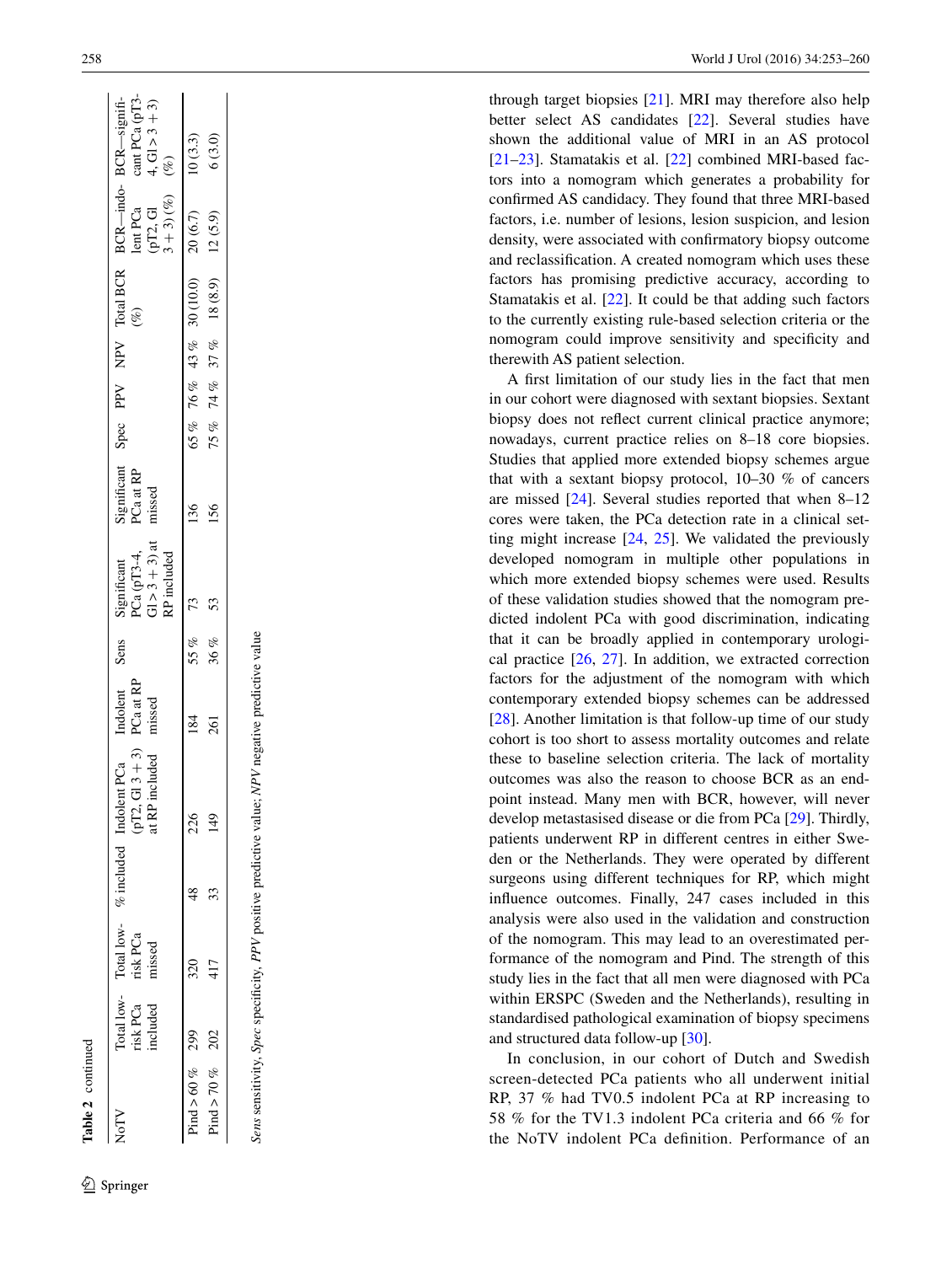| NoTV            | risk PCa<br>ncluded | risk PCa<br>mssed |    | Total low- Total low- % included Indolent PCa Indolent<br>$(pT2, G13 + 3)$ PCa at RP<br>at RP included | missed | Sens     | PCa (pT3-4,<br>Gl > 3 + 3) at<br>Significant<br>RP included | missed |  |                                    | $(4, 3)$ $(4, 6)$<br>$pT2$ , Gl | cant PCa (pT3-<br>Significant Spec PPV NPV Total BCR BCR—indo-BCR—signifi-<br>PCa at RP<br>$(96)$ (%) lent PCa cant PCa (pT3-<br>$4, G1 > 3 + 3$<br>$(\%)$ |
|-----------------|---------------------|-------------------|----|--------------------------------------------------------------------------------------------------------|--------|----------|-------------------------------------------------------------|--------|--|------------------------------------|---------------------------------|------------------------------------------------------------------------------------------------------------------------------------------------------------|
| Pind > 60 % 299 |                     |                   |    | 226                                                                                                    |        | 55 % 73  |                                                             | 136    |  | 65% 76% 43% 30 (10.0)              | 20(6.7)                         | 10(3.3)                                                                                                                                                    |
| Pind > 70 % 202 |                     | 417               | 33 | 149                                                                                                    | 261    | $36%$ 53 |                                                             | 156    |  | $75\%$ 74 % 37 % 18 (8.9) 12 (5.9) |                                 | 6(3.0)                                                                                                                                                     |
|                 |                     |                   |    | Sens sensitivity, Spec specificity, PPV positive predictive value; NPV negative predictive value       |        |          |                                                             |        |  |                                    |                                 |                                                                                                                                                            |

**Table 2** continued

Table 2 continued

through target biopsies [\[21](#page-6-20)]. MRI may therefore also help better select AS candidates [\[22](#page-6-21)]. Several studies have shown the additional value of MRI in an AS protocol [\[21](#page-6-20)[–23](#page-6-22)]. Stamatakis et al. [22] combined MRI-based factors into a nomogram which generates a probability for confirmed AS candidacy. They found that three MRI-based factors, i.e. number of lesions, lesion suspicion, and lesion density, were associated with confirmatory biopsy outcome and reclassification. A created nomogram which uses these factors has promising predictive accuracy, according to Stamatakis et al. [\[22](#page-6-21)]. It could be that adding such factors to the currently existing rule-based selection criteria or the nomogram could improve sensitivity and specificity and therewith AS patient selection.

A first limitation of our study lies in the fact that men in our cohort were diagnosed with sextant biopsies. Sextant biopsy does not reflect current clinical practice anymore; nowadays, current practice relies on 8–18 core biopsies. Studies that applied more extended biopsy schemes argue that with a sextant biopsy protocol, 10–30 % of cancers are missed [\[24](#page-6-23)]. Several studies reported that when 8–12 cores were taken, the PCa detection rate in a clinical set ting might increase [[24,](#page-6-23) [25](#page-7-0)]. We validated the previously developed nomogram in multiple other populations in which more extended biopsy schemes were used. Results of these validation studies showed that the nomogram pre dicted indolent PCa with good discrimination, indicating that it can be broadly applied in contemporary urologi cal practice [\[26](#page-7-1), [27\]](#page-7-2). In addition, we extracted correction factors for the adjustment of the nomogram with which contemporary extended biopsy schemes can be addressed [\[28](#page-7-3)]. Another limitation is that follow-up time of our study cohort is too short to assess mortality outcomes and relate these to baseline selection criteria. The lack of mortality outcomes was also the reason to choose BCR as an end point instead. Many men with BCR, however, will never develop metastasised disease or die from PCa [\[29](#page-7-4)]. Thirdly, patients underwent RP in different centres in either Swe den or the Netherlands. They were operated by different surgeons using different techniques for RP, which might influence outcomes. Finally, 247 cases included in this analysis were also used in the validation and construction of the nomogram. This may lead to an overestimated per formance of the nomogram and Pind. The strength of this study lies in the fact that all men were diagnosed with PCa within ERSPC (Sweden and the Netherlands), resulting in standardised pathological examination of biopsy specimens and structured data follow-up [[30\]](#page-7-5).

In conclusion, in our cohort of Dutch and Swedish screen-detected PCa patients who all underwent initial RP, 37 % had TV0.5 indolent PCa at RP increasing to 58 % for the TV1.3 indolent PCa criteria and 66 % for the NoTV indolent PCa definition. Performance of an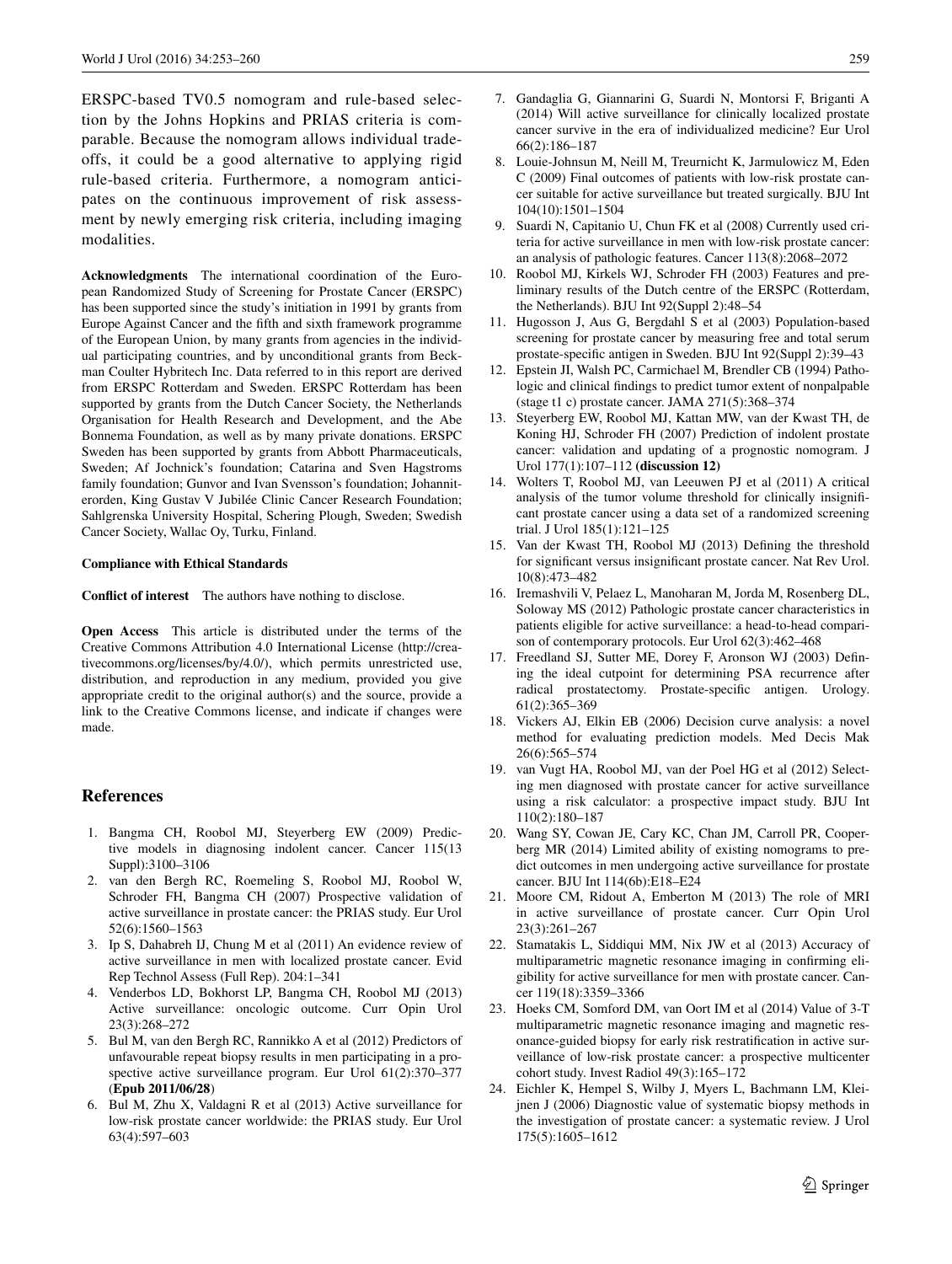ERSPC-based TV0.5 nomogram and rule-based selection by the Johns Hopkins and PRIAS criteria is comparable. Because the nomogram allows individual tradeoffs, it could be a good alternative to applying rigid rule-based criteria. Furthermore, a nomogram anticipates on the continuous improvement of risk assessment by newly emerging risk criteria, including imaging modalities.

**Acknowledgments** The international coordination of the European Randomized Study of Screening for Prostate Cancer (ERSPC) has been supported since the study's initiation in 1991 by grants from Europe Against Cancer and the fifth and sixth framework programme of the European Union, by many grants from agencies in the individual participating countries, and by unconditional grants from Beckman Coulter Hybritech Inc. Data referred to in this report are derived from ERSPC Rotterdam and Sweden. ERSPC Rotterdam has been supported by grants from the Dutch Cancer Society, the Netherlands Organisation for Health Research and Development, and the Abe Bonnema Foundation, as well as by many private donations. ERSPC Sweden has been supported by grants from Abbott Pharmaceuticals, Sweden; Af Jochnick's foundation; Catarina and Sven Hagstroms family foundation; Gunvor and Ivan Svensson's foundation; Johanniterorden, King Gustav V Jubilée Clinic Cancer Research Foundation; Sahlgrenska University Hospital, Schering Plough, Sweden; Swedish Cancer Society, Wallac Oy, Turku, Finland.

#### **Compliance with Ethical Standards**

**Conflict of interest** The authors have nothing to disclose.

**Open Access** This article is distributed under the terms of the Creative Commons Attribution 4.0 International License (http://creativecommons.org/licenses/by/4.0/), which permits unrestricted use, distribution, and reproduction in any medium, provided you give appropriate credit to the original author(s) and the source, provide a link to the Creative Commons license, and indicate if changes were made.

## **References**

- <span id="page-6-0"></span>1. Bangma CH, Roobol MJ, Steyerberg EW (2009) Predictive models in diagnosing indolent cancer. Cancer 115(13 Suppl):3100–3106
- <span id="page-6-1"></span>2. van den Bergh RC, Roemeling S, Roobol MJ, Roobol W, Schroder FH, Bangma CH (2007) Prospective validation of active surveillance in prostate cancer: the PRIAS study. Eur Urol 52(6):1560–1563
- <span id="page-6-2"></span>3. Ip S, Dahabreh IJ, Chung M et al (2011) An evidence review of active surveillance in men with localized prostate cancer. Evid Rep Technol Assess (Full Rep). 204:1–341
- <span id="page-6-3"></span>4. Venderbos LD, Bokhorst LP, Bangma CH, Roobol MJ (2013) Active surveillance: oncologic outcome. Curr Opin Urol 23(3):268–272
- <span id="page-6-4"></span>5. Bul M, van den Bergh RC, Rannikko A et al (2012) Predictors of unfavourable repeat biopsy results in men participating in a prospective active surveillance program. Eur Urol 61(2):370–377 (**Epub 2011/06/28**)
- <span id="page-6-5"></span>6. Bul M, Zhu X, Valdagni R et al (2013) Active surveillance for low-risk prostate cancer worldwide: the PRIAS study. Eur Urol 63(4):597–603
- <span id="page-6-6"></span>7. Gandaglia G, Giannarini G, Suardi N, Montorsi F, Briganti A (2014) Will active surveillance for clinically localized prostate cancer survive in the era of individualized medicine? Eur Urol 66(2):186–187
- <span id="page-6-7"></span>8. Louie-Johnsun M, Neill M, Treurnicht K, Jarmulowicz M, Eden C (2009) Final outcomes of patients with low-risk prostate cancer suitable for active surveillance but treated surgically. BJU Int 104(10):1501–1504
- <span id="page-6-8"></span>9. Suardi N, Capitanio U, Chun FK et al (2008) Currently used criteria for active surveillance in men with low-risk prostate cancer: an analysis of pathologic features. Cancer 113(8):2068–2072
- <span id="page-6-9"></span>10. Roobol MJ, Kirkels WJ, Schroder FH (2003) Features and preliminary results of the Dutch centre of the ERSPC (Rotterdam, the Netherlands). BJU Int 92(Suppl 2):48–54
- <span id="page-6-10"></span>11. Hugosson J, Aus G, Bergdahl S et al (2003) Population-based screening for prostate cancer by measuring free and total serum prostate-specific antigen in Sweden. BJU Int 92(Suppl 2):39–43
- <span id="page-6-11"></span>12. Epstein JI, Walsh PC, Carmichael M, Brendler CB (1994) Pathologic and clinical findings to predict tumor extent of nonpalpable (stage t1 c) prostate cancer. JAMA 271(5):368–374
- <span id="page-6-12"></span>13. Steyerberg EW, Roobol MJ, Kattan MW, van der Kwast TH, de Koning HJ, Schroder FH (2007) Prediction of indolent prostate cancer: validation and updating of a prognostic nomogram. J Urol 177(1):107–112 **(discussion 12)**
- <span id="page-6-13"></span>14. Wolters T, Roobol MJ, van Leeuwen PJ et al (2011) A critical analysis of the tumor volume threshold for clinically insignificant prostate cancer using a data set of a randomized screening trial. J Urol 185(1):121–125
- <span id="page-6-15"></span>15. Van der Kwast TH, Roobol MJ (2013) Defining the threshold for significant versus insignificant prostate cancer. Nat Rev Urol. 10(8):473–482
- <span id="page-6-14"></span>16. Iremashvili V, Pelaez L, Manoharan M, Jorda M, Rosenberg DL, Soloway MS (2012) Pathologic prostate cancer characteristics in patients eligible for active surveillance: a head-to-head comparison of contemporary protocols. Eur Urol 62(3):462–468
- <span id="page-6-16"></span>17. Freedland SJ, Sutter ME, Dorey F, Aronson WJ (2003) Defining the ideal cutpoint for determining PSA recurrence after radical prostatectomy. Prostate-specific antigen. Urology. 61(2):365–369
- <span id="page-6-17"></span>18. Vickers AJ, Elkin EB (2006) Decision curve analysis: a novel method for evaluating prediction models. Med Decis Mak 26(6):565–574
- <span id="page-6-18"></span>19. van Vugt HA, Roobol MJ, van der Poel HG et al (2012) Selecting men diagnosed with prostate cancer for active surveillance using a risk calculator: a prospective impact study. BJU Int 110(2):180–187
- <span id="page-6-19"></span>20. Wang SY, Cowan JE, Cary KC, Chan JM, Carroll PR, Cooperberg MR (2014) Limited ability of existing nomograms to predict outcomes in men undergoing active surveillance for prostate cancer. BJU Int 114(6b):E18–E24
- <span id="page-6-20"></span>21. Moore CM, Ridout A, Emberton M (2013) The role of MRI in active surveillance of prostate cancer. Curr Opin Urol 23(3):261–267
- <span id="page-6-21"></span>22. Stamatakis L, Siddiqui MM, Nix JW et al (2013) Accuracy of multiparametric magnetic resonance imaging in confirming eligibility for active surveillance for men with prostate cancer. Cancer 119(18):3359–3366
- <span id="page-6-22"></span>23. Hoeks CM, Somford DM, van Oort IM et al (2014) Value of 3-T multiparametric magnetic resonance imaging and magnetic resonance-guided biopsy for early risk restratification in active surveillance of low-risk prostate cancer: a prospective multicenter cohort study. Invest Radiol 49(3):165–172
- <span id="page-6-23"></span>24. Eichler K, Hempel S, Wilby J, Myers L, Bachmann LM, Kleijnen J (2006) Diagnostic value of systematic biopsy methods in the investigation of prostate cancer: a systematic review. J Urol 175(5):1605–1612